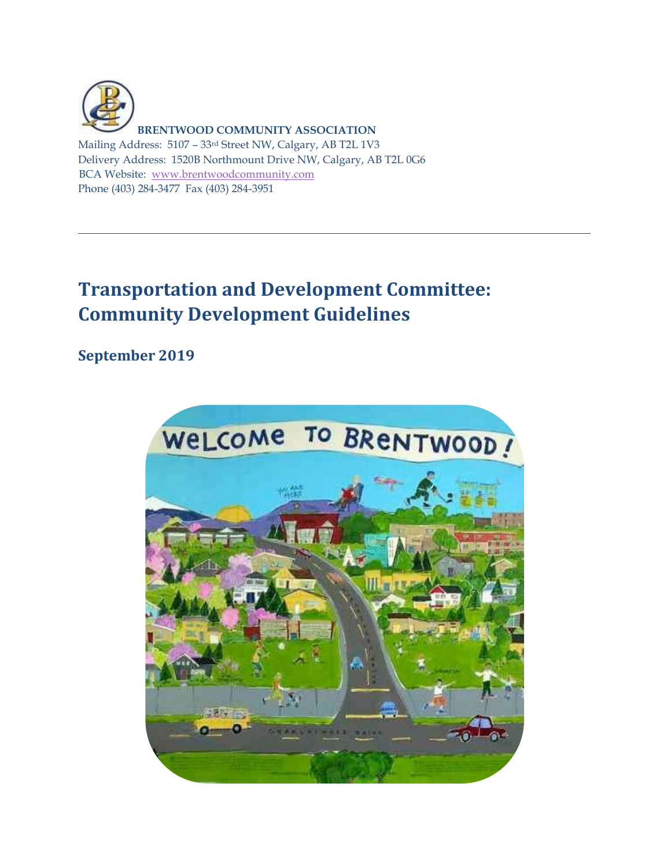

**BRENTWOOD COMMUNITY ASSOCIATION**

Mailing Address: 5107 – 33rd Street NW, Calgary, AB T2L 1V3 Delivery Address: 1520B Northmount Drive NW, Calgary, AB T2L 0G6 BCA Website: [www.brentwoodcommunity.com](http://www.brentwoodcommunity.com/) Phone (403) 284-3477 Fax (403) 284-3951

## **Transportation and Development Committee: Community Development Guidelines**

## **September 2019**

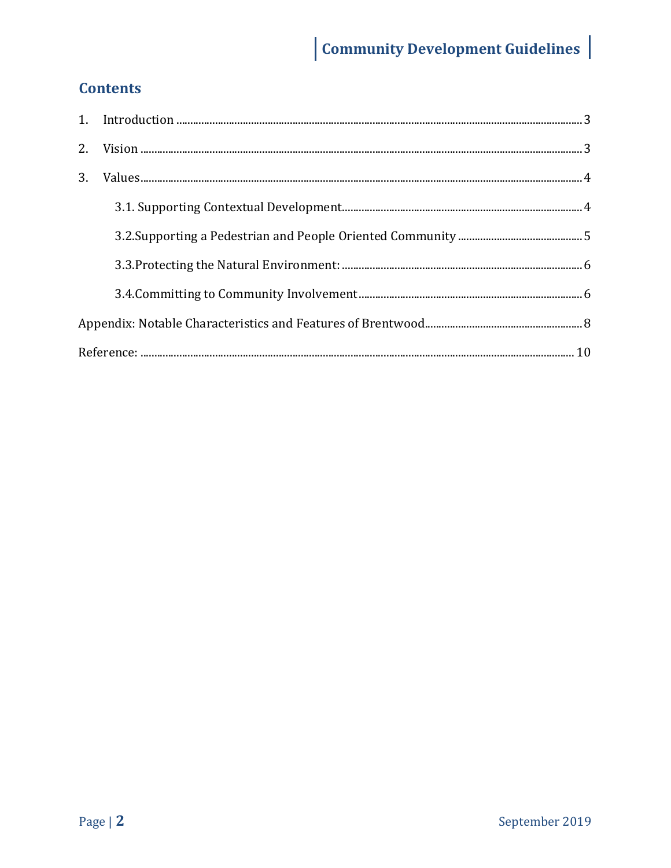# Community Development Guidelines

## **Contents**

| 3 <sub>1</sub> |  |  |
|----------------|--|--|
|                |  |  |
|                |  |  |
|                |  |  |
|                |  |  |
|                |  |  |
|                |  |  |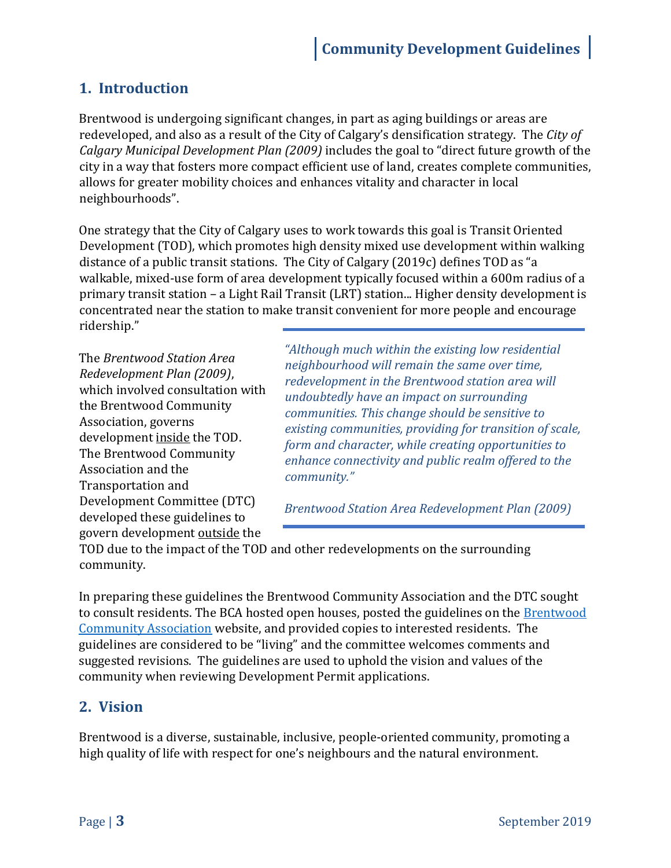## <span id="page-2-0"></span>**1. Introduction**

Brentwood is undergoing significant changes, in part as aging buildings or areas are redeveloped, and also as a result of the City of Calgary's densification strategy. The *City of Calgary Municipal Development Plan (2009)* includes the goal to "direct future growth of the city in a way that fosters more compact efficient use of land, creates complete communities, allows for greater mobility choices and enhances vitality and character in local neighbourhoods".

One strategy that the City of Calgary uses to work towards this goal is Transit Oriented Development (TOD), which promotes high density mixed use development within walking distance of a public transit stations. The City of Calgary (2019c) defines TOD as "a walkable, mixed-use form of area development typically focused within a 600m radius of a primary transit station – a Light Rail Transit (LRT) station... Higher density development is concentrated near the station to make transit convenient for more people and encourage ridership."

The *Brentwood Station Area Redevelopment Plan (2009)*, which involved consultation with the Brentwood Community Association, governs development inside the TOD. The Brentwood Community Association and the Transportation and Development Committee (DTC) developed these guidelines to govern development outside the

*"Although much within the existing low residential neighbourhood will remain the same over time, redevelopment in the Brentwood station area will undoubtedly have an impact on surrounding communities. This change should be sensitive to existing communities, providing for transition of scale, form and character, while creating opportunities to enhance connectivity and public realm offered to the community."*

*Brentwood Station Area Redevelopment Plan (2009)*

TOD due to the impact of the TOD and other redevelopments on the surrounding community.

In preparing these guidelines the Brentwood Community Association and the DTC sought to consult residents. The BCA hosted open houses, posted the guidelines on th[e Brentwood](http://brentwoodcommunity.com/)  [Community Association](http://brentwoodcommunity.com/) website, and provided copies to interested residents. The guidelines are considered to be "living" and the committee welcomes comments and suggested revisions. The guidelines are used to uphold the vision and values of the community when reviewing Development Permit applications.

## <span id="page-2-1"></span>**2. Vision**

Brentwood is a diverse, sustainable, inclusive, people-oriented community, promoting a high quality of life with respect for one's neighbours and the natural environment.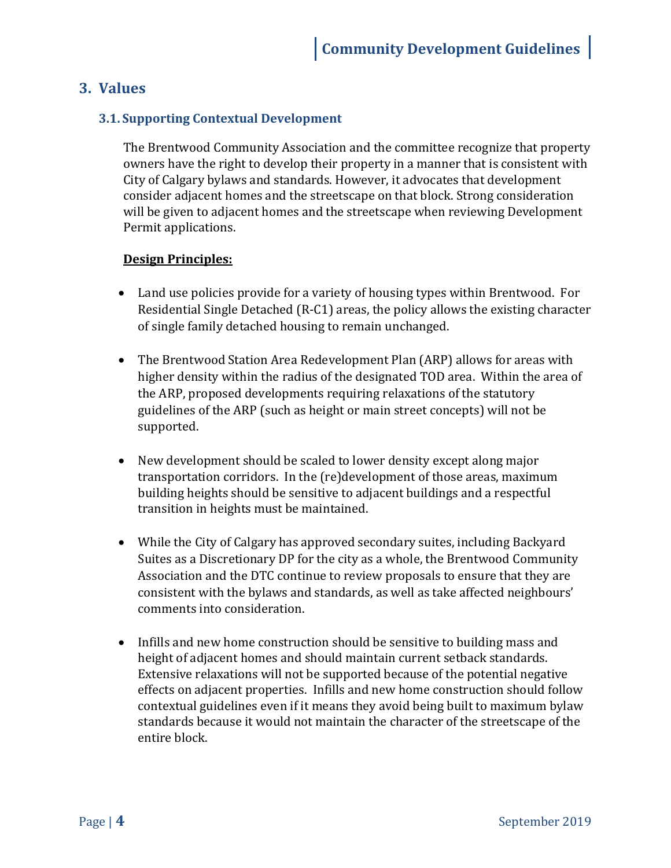## <span id="page-3-0"></span>**3. Values**

#### <span id="page-3-1"></span>**3.1. Supporting Contextual Development**

The Brentwood Community Association and the committee recognize that property owners have the right to develop their property in a manner that is consistent with City of Calgary bylaws and standards. However, it advocates that development consider adjacent homes and the streetscape on that block. Strong consideration will be given to adjacent homes and the streetscape when reviewing Development Permit applications.

#### **Design Principles:**

- Land use policies provide for a variety of housing types within Brentwood. For Residential Single Detached (R-C1) areas, the policy allows the existing character of single family detached housing to remain unchanged.
- The Brentwood Station Area Redevelopment Plan (ARP) allows for areas with higher density within the radius of the designated TOD area. Within the area of the ARP, proposed developments requiring relaxations of the statutory guidelines of the ARP (such as height or main street concepts) will not be supported.
- New development should be scaled to lower density except along major transportation corridors. In the (re)development of those areas, maximum building heights should be sensitive to adjacent buildings and a respectful transition in heights must be maintained.
- While the City of Calgary has approved secondary suites, including Backyard Suites as a Discretionary DP for the city as a whole, the Brentwood Community Association and the DTC continue to review proposals to ensure that they are consistent with the bylaws and standards, as well as take affected neighbours' comments into consideration.
- Infills and new home construction should be sensitive to building mass and height of adjacent homes and should maintain current setback standards. Extensive relaxations will not be supported because of the potential negative effects on adjacent properties. Infills and new home construction should follow contextual guidelines even if it means they avoid being built to maximum bylaw standards because it would not maintain the character of the streetscape of the entire block.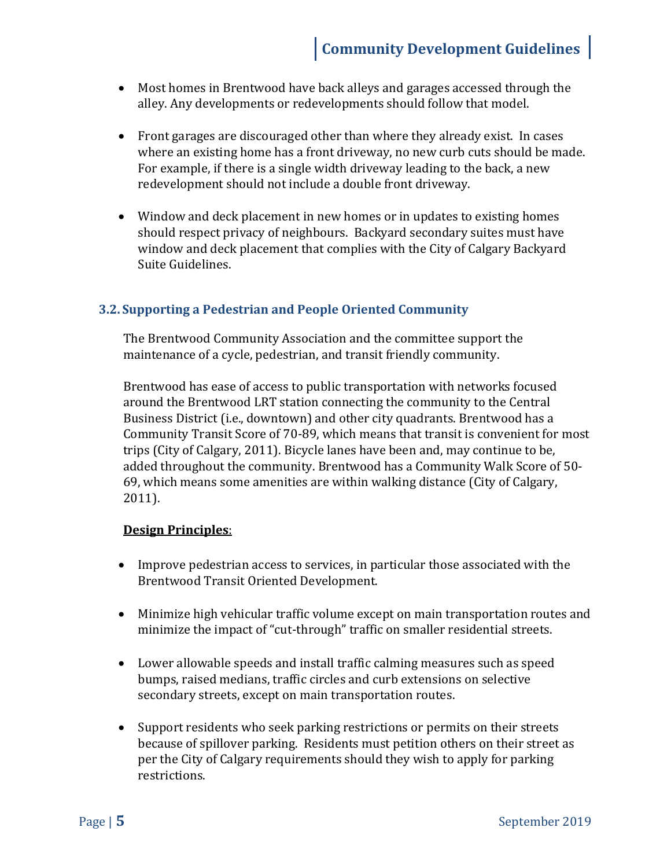- Most homes in Brentwood have back alleys and garages accessed through the alley. Any developments or redevelopments should follow that model.
- Front garages are discouraged other than where they already exist. In cases where an existing home has a front driveway, no new curb cuts should be made. For example, if there is a single width driveway leading to the back, a new redevelopment should not include a double front driveway.
- Window and deck placement in new homes or in updates to existing homes should respect privacy of neighbours. Backyard secondary suites must have window and deck placement that complies with the City of Calgary Backyard Suite Guidelines.

#### <span id="page-4-0"></span>**3.2. Supporting a Pedestrian and People Oriented Community**

The Brentwood Community Association and the committee support the maintenance of a cycle, pedestrian, and transit friendly community.

Brentwood has ease of access to public transportation with networks focused around the Brentwood LRT station connecting the community to the Central Business District (i.e., downtown) and other city quadrants. Brentwood has a Community Transit Score of 70-89, which means that transit is convenient for most trips (City of Calgary, 2011). Bicycle lanes have been and, may continue to be, added throughout the community. Brentwood has a Community Walk Score of 50- 69, which means some amenities are within walking distance (City of Calgary, 2011).

#### **Design Principles**:

- Improve pedestrian access to services, in particular those associated with the Brentwood Transit Oriented Development.
- Minimize high vehicular traffic volume except on main transportation routes and minimize the impact of "cut-through" traffic on smaller residential streets.
- Lower allowable speeds and install traffic calming measures such as speed bumps, raised medians, traffic circles and curb extensions on selective secondary streets, except on main transportation routes.
- Support residents who seek parking restrictions or permits on their streets because of spillover parking. Residents must petition others on their street as per the City of Calgary requirements should they wish to apply for parking restrictions.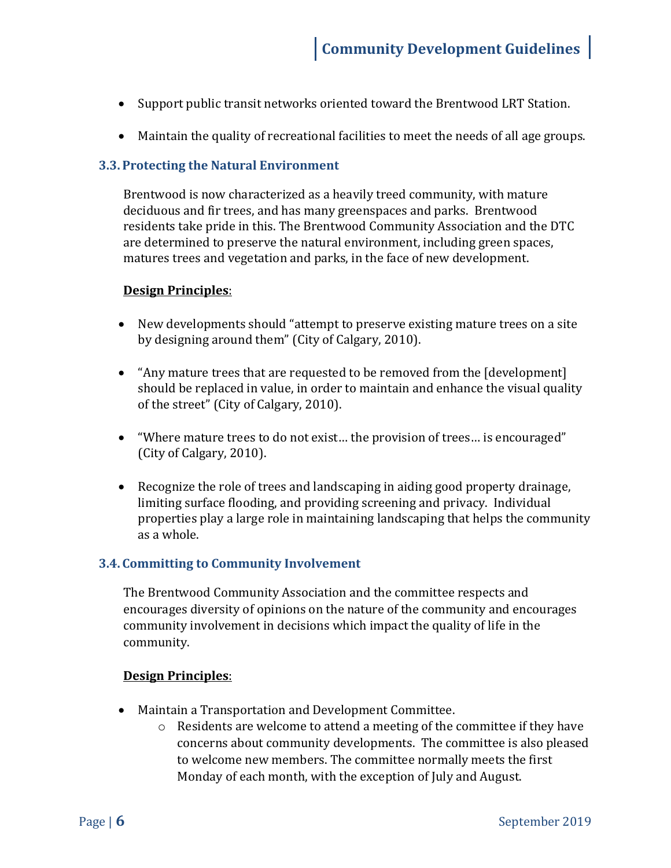- Support public transit networks oriented toward the Brentwood LRT Station.
- Maintain the quality of recreational facilities to meet the needs of all age groups.

#### <span id="page-5-0"></span>**3.3. Protecting the Natural Environment**

Brentwood is now characterized as a heavily treed community, with mature deciduous and fir trees, and has many greenspaces and parks. Brentwood residents take pride in this. The Brentwood Community Association and the DTC are determined to preserve the natural environment, including green spaces, matures trees and vegetation and parks, in the face of new development.

#### **Design Principles**:

- New developments should "attempt to preserve existing mature trees on a site by designing around them" (City of Calgary, 2010).
- "Any mature trees that are requested to be removed from the [development] should be replaced in value, in order to maintain and enhance the visual quality of the street" (City of Calgary, 2010).
- "Where mature trees to do not exist… the provision of trees… is encouraged" (City of Calgary, 2010).
- Recognize the role of trees and landscaping in aiding good property drainage, limiting surface flooding, and providing screening and privacy. Individual properties play a large role in maintaining landscaping that helps the community as a whole.

#### <span id="page-5-1"></span>**3.4. Committing to Community Involvement**

The Brentwood Community Association and the committee respects and encourages diversity of opinions on the nature of the community and encourages community involvement in decisions which impact the quality of life in the community.

#### **Design Principles**:

- Maintain a Transportation and Development Committee.
	- $\circ$  Residents are welcome to attend a meeting of the committee if they have concerns about community developments. The committee is also pleased to welcome new members. The committee normally meets the first Monday of each month, with the exception of July and August.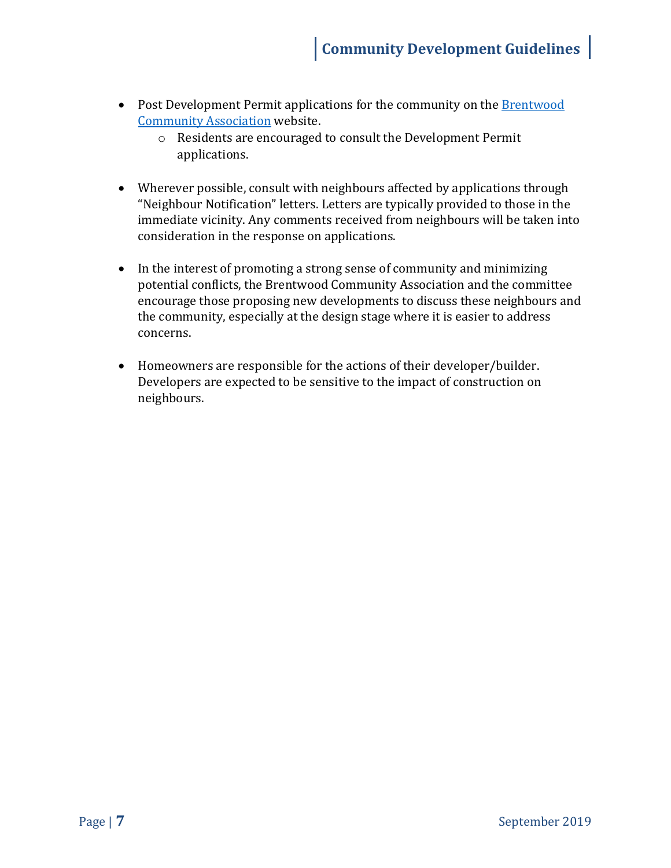- Post Development Permit applications for the community on the **Brentwood** [Community Association](http://brentwoodcommunity.com/) website.
	- o Residents are encouraged to consult the Development Permit applications.
- Wherever possible, consult with neighbours affected by applications through "Neighbour Notification" letters. Letters are typically provided to those in the immediate vicinity. Any comments received from neighbours will be taken into consideration in the response on applications.
- In the interest of promoting a strong sense of community and minimizing potential conflicts, the Brentwood Community Association and the committee encourage those proposing new developments to discuss these neighbours and the community, especially at the design stage where it is easier to address concerns.
- Homeowners are responsible for the actions of their developer/builder. Developers are expected to be sensitive to the impact of construction on neighbours.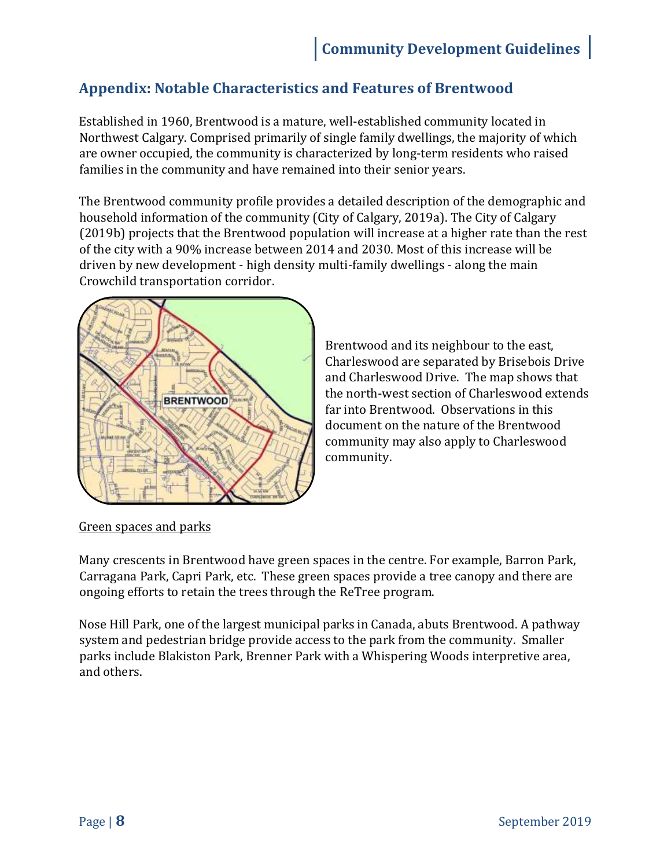## <span id="page-7-0"></span>**Appendix: Notable Characteristics and Features of Brentwood**

Established in 1960, Brentwood is a mature, well-established community located in Northwest Calgary. Comprised primarily of single family dwellings, the majority of which are owner occupied, the community is characterized by long-term residents who raised families in the community and have remained into their senior years.

The Brentwood community profile provides a detailed description of the demographic and household information of the community (City of Calgary, 2019a). The City of Calgary (2019b) projects that the Brentwood population will increase at a higher rate than the rest of the city with a 90% increase between 2014 and 2030. Most of this increase will be driven by new development - high density multi-family dwellings - along the main Crowchild transportation corridor.



Brentwood and its neighbour to the east, Charleswood are separated by Brisebois Drive and Charleswood Drive. The map shows that the north-west section of Charleswood extends far into Brentwood. Observations in this document on the nature of the Brentwood community may also apply to Charleswood community.

#### Green spaces and parks

Many crescents in Brentwood have green spaces in the centre. For example, Barron Park, Carragana Park, Capri Park, etc. These green spaces provide a tree canopy and there are ongoing efforts to retain the trees through the ReTree program.

Nose Hill Park, one of the largest municipal parks in Canada, abuts Brentwood. A pathway system and pedestrian bridge provide access to the park from the community. Smaller parks include Blakiston Park, Brenner Park with a Whispering Woods interpretive area, and others.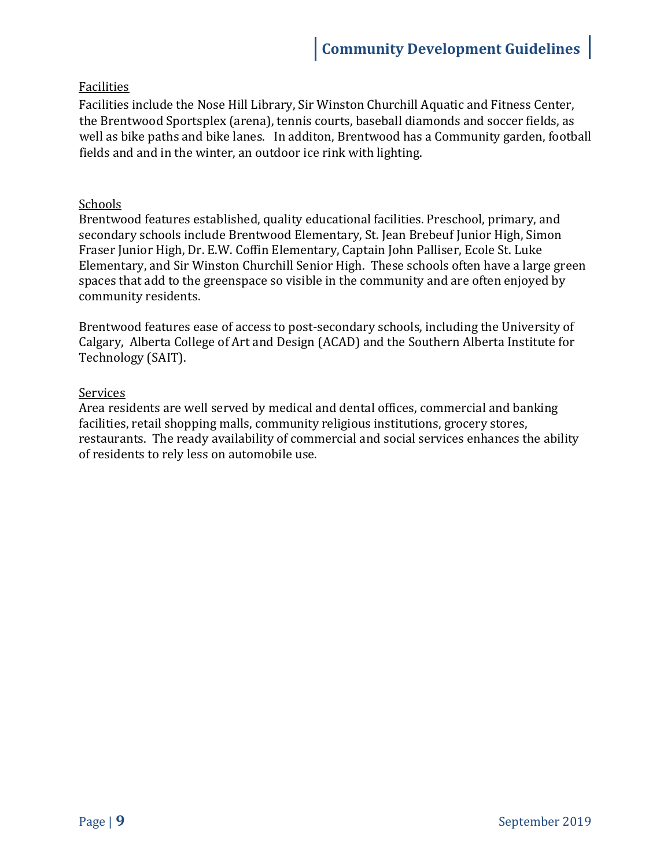### Facilities

Facilities include the Nose Hill Library, Sir Winston Churchill Aquatic and Fitness Center, the Brentwood Sportsplex (arena), tennis courts, baseball diamonds and soccer fields, as well as bike paths and bike lanes. In additon, Brentwood has a Community garden, football fields and and in the winter, an outdoor ice rink with lighting.

#### Schools

Brentwood features established, quality educational facilities. Preschool, primary, and secondary schools include Brentwood Elementary, St. Jean Brebeuf Junior High, Simon Fraser Junior High, Dr. E.W. Coffin Elementary, Captain John Palliser, Ecole St. Luke Elementary, and Sir Winston Churchill Senior High. These schools often have a large green spaces that add to the greenspace so visible in the community and are often enjoyed by community residents.

Brentwood features ease of access to post-secondary schools, including the University of Calgary, Alberta College of Art and Design (ACAD) and the Southern Alberta Institute for Technology (SAIT).

#### Services

Area residents are well served by medical and dental offices, commercial and banking facilities, retail shopping malls, community religious institutions, grocery stores, restaurants. The ready availability of commercial and social services enhances the ability of residents to rely less on automobile use.